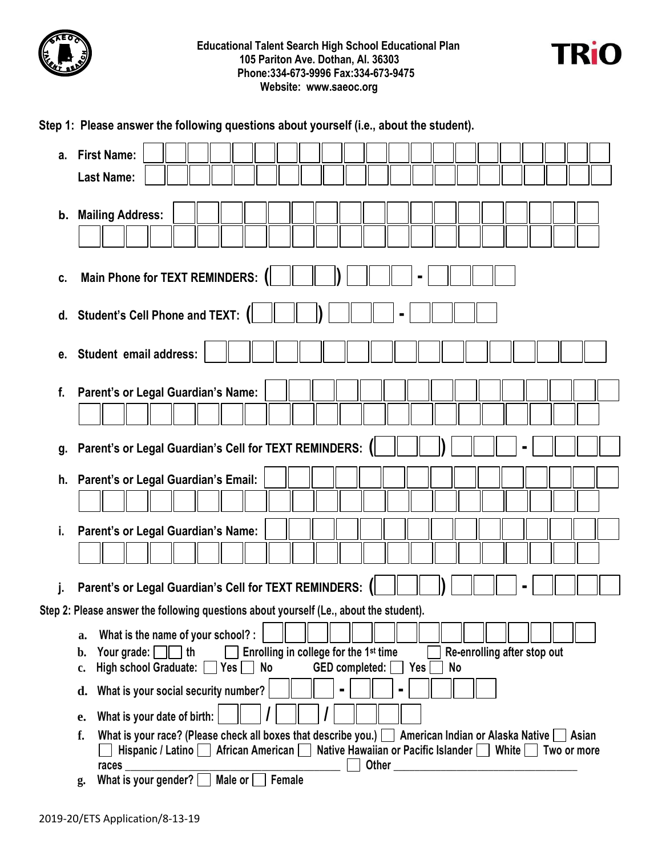



|    | Step 1: Please answer the following questions about yourself (i.e., about the student).                                                                                                                               |
|----|-----------------------------------------------------------------------------------------------------------------------------------------------------------------------------------------------------------------------|
| а. | <b>First Name:</b><br><b>Last Name:</b>                                                                                                                                                                               |
|    | b. Mailing Address:                                                                                                                                                                                                   |
| c. | <b>Main Phone for TEXT REMINDERS:</b>                                                                                                                                                                                 |
| d. | <b>Student's Cell Phone and TEXT:</b>                                                                                                                                                                                 |
| е. | Student email address:                                                                                                                                                                                                |
| f. | Parent's or Legal Guardian's Name:                                                                                                                                                                                    |
|    |                                                                                                                                                                                                                       |
| g. | Parent's or Legal Guardian's Cell for TEXT REMINDERS:                                                                                                                                                                 |
| h. | Parent's or Legal Guardian's Email:                                                                                                                                                                                   |
|    |                                                                                                                                                                                                                       |
| i. | Parent's or Legal Guardian's Name:                                                                                                                                                                                    |
|    |                                                                                                                                                                                                                       |
|    | Parent's or Legal Guardian's Cell for TEXT REMINDERS:                                                                                                                                                                 |
|    | Step 2: Please answer the following questions about yourself (Le., about the student).                                                                                                                                |
|    | What is the name of your school? :<br>a.                                                                                                                                                                              |
|    | Enrolling in college for the 1 <sup>st</sup> time<br>Your grade: $\Box$ th<br>Re-enrolling after stop out<br>b.                                                                                                       |
|    | High school Graduate: [<br>$\Box$ Yes $\Box$<br><b>No</b><br><b>GED</b> completed:<br>Yes<br>No<br>c.                                                                                                                 |
|    | What is your social security number?<br>d.                                                                                                                                                                            |
|    | What is your date of birth:<br>e.                                                                                                                                                                                     |
|    | What is your race? (Please check all boxes that describe you.) $\Box$ American Indian or Alaska Native $\Box$ Asian<br>f.<br>Hispanic / Latino African American Native Hawaiian or Pacific Islander White Two or more |
|    | $rac{1}{2}$ races<br>Male or<br>What is your gender? [<br>Female<br>g.                                                                                                                                                |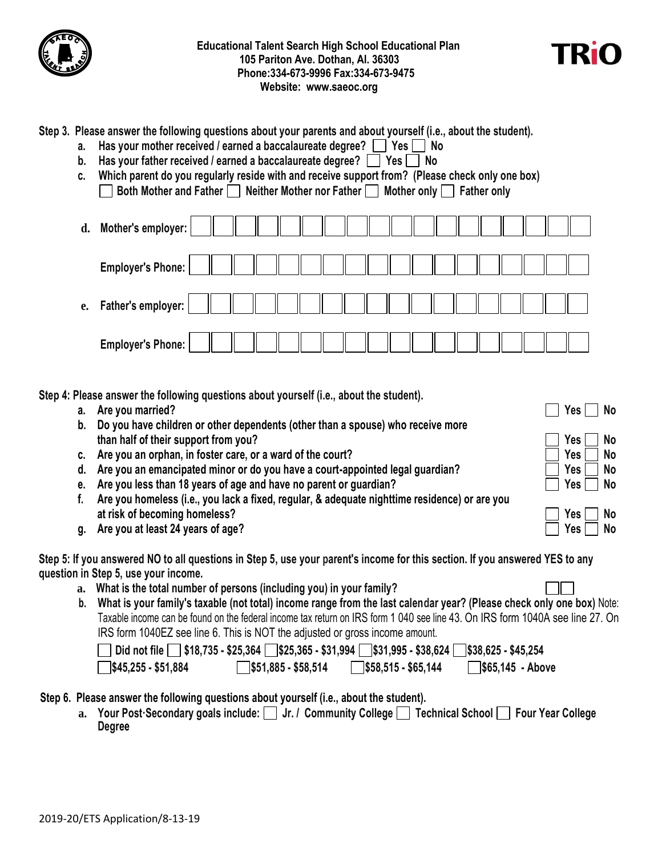



## **Step 3. Please answer the following questions about your parents and about yourself (i.e., about the student).**

- **a.** Has your mother received / earned a baccalaureate degree?  $\Box$  Yes  $\Box$  No
- **b.** Has your father received / earned a baccalaureate degree?  $\Box$  Yes  $\Box$  No
- **c. Which parent do you regularly reside with and receive support from? (Please check only one box) Both Mother and Father Neither Mother nor Father Mother only Father only**

| d. | <b>Mother's employer:</b> |  |  |  |  |  |  |  |  |  |
|----|---------------------------|--|--|--|--|--|--|--|--|--|
|    | <b>Employer's Phone:</b>  |  |  |  |  |  |  |  |  |  |
|    | e. Father's employer:     |  |  |  |  |  |  |  |  |  |
|    | <b>Employer's Phone:</b>  |  |  |  |  |  |  |  |  |  |

**Step 4: Please answer the following questions about yourself (i.e., about the student).** 

- **a.** Are you married? No
- **b. Do you have children or other dependents (other than a spouse) who receive more than half of their support from you? Contained a set of the Second Second Second Second Second Second Second Second Second Second Second Second Second Second Second Second Second Second Second Second Second Second Secon**
- **c.** Are you an orphan, in foster care, or a ward of the court?  $\Box$  Yes  $\Box$  No
- **d.** Are you an emancipated minor or do you have a court-appointed legal guardian?  $\Box$  Yes  $\Box$  No
- **e.** Are you less than 18 years of age and have no parent or guardian?  $\Box$  Yes  $\Box$  No
- **f. Are you homeless (i.e., you lack a fixed, regular, & adequate nighttime residence) or are you at risk of becoming homeless? We are all that the control of the control of the control of the control of the control of the control of the control of the control of the control of the control of the control of the cont**
- **g. Are you at least 24 years of age? Yes No**

**Step 5: If you answered NO to all questions in Step 5, use your parent's income for this section. If you answered YES to any question in Step 5, use your income.** 

- **a. What is the total number of persons (including you) in your family?**
- **b. What is your family's taxable (not total) income range from the last calendar year? (Please check only one box)** Note: Taxable income can be found on the federal income tax return on IRS form 1 040 see line 43. On IRS form 1040A see line 27. On IRS form 1040EZ see line 6. This is NOT the adjusted or gross income amount.

| Did not file S18,735 - \$25,364 S\$25,365 - \$31,994 S\$31,995 - \$38,624 S\$38,625 - \$45,254 |                            |                            |                             |
|------------------------------------------------------------------------------------------------|----------------------------|----------------------------|-----------------------------|
| $\sqrt{\$45,255 - $51,884}$                                                                    | $\sqrt{$}51,885 - $58,514$ | $\sqrt{$}58,515 - $65,144$ | $\frac{1}{565,145}$ - Above |

- **Step 6. Please answer the following questions about yourself (i.e., about the student).**
	- a. Your Post·Secondary goals include:  $\Box$  Jr. / Community College  $\Box$  Technical School  $\Box$  Four Year College **Degree**